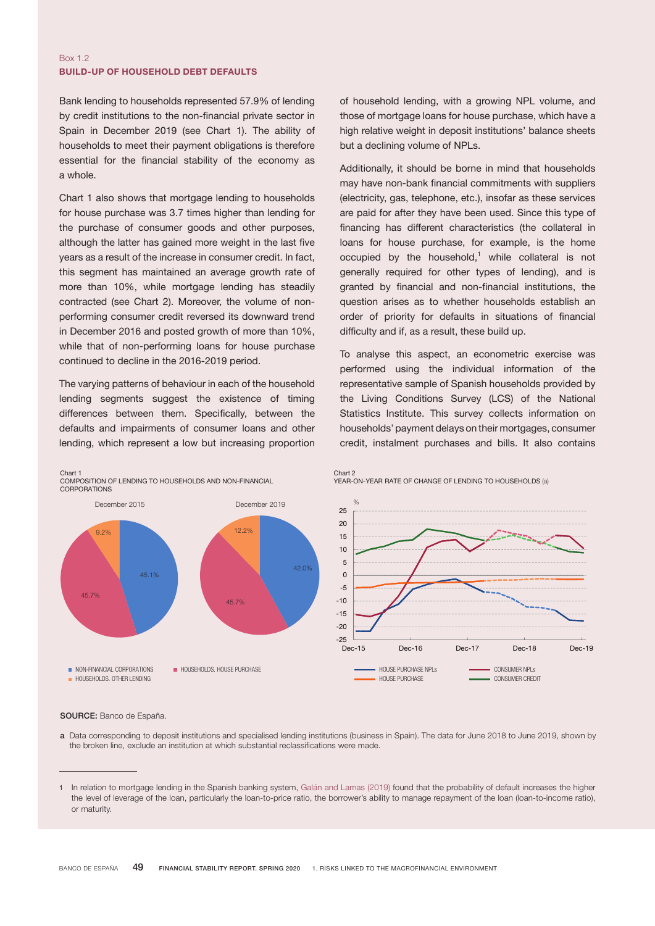### Box 1.2 BUILD-UP OF HOUSEHOLD DEBT DEFAULTS

Bank lending to households represented 57.9% of lending by credit institutions to the non-financial private sector in Spain in December 2019 (see Chart 1). The ability of households to meet their payment obligations is therefore essential for the financial stability of the economy as a whole.

Chart 1 also shows that mortgage lending to households for house purchase was 3.7 times higher than lending for the purchase of consumer goods and other purposes, although the latter has gained more weight in the last five years as a result of the increase in consumer credit. In fact, this segment has maintained an average growth rate of more than 10%, while mortgage lending has steadily contracted (see Chart 2). Moreover, the volume of nonperforming consumer credit reversed its downward trend in December 2016 and posted growth of more than 10%, while that of non-performing loans for house purchase continued to decline in the 2016-2019 period.

The varying patterns of behaviour in each of the household lending segments suggest the existence of timing differences between them. Specifically, between the defaults and impairments of consumer loans and other lending, which represent a low but increasing proportion of household lending, with a growing NPL volume, and those of mortgage loans for house purchase, which have a high relative weight in deposit institutions' balance sheets but a declining volume of NPLs.

Additionally, it should be borne in mind that households may have non-bank financial commitments with suppliers (electricity, gas, telephone, etc.), insofar as these services are paid for after they have been used. Since this type of financing has different characteristics (the collateral in loans for house purchase, for example, is the home occupied by the household,<sup>1</sup> while collateral is not generally required for other types of lending), and is granted by financial and non-financial institutions, the question arises as to whether households establish an order of priority for defaults in situations of financial difficulty and if, as a result, these build up.

To analyse this aspect, an econometric exercise was performed using the individual information of the representative sample of Spanish households provided by the Living Conditions Survey (LCS) of the National Statistics Institute. This survey collects information on households' payment delays on their mortgages, consumer credit, instalment purchases and bills. It also contains



#### SOURCE: Banco de España.

a Data corresponding to deposit institutions and specialised lending institutions (business in Spain). The data for June 2018 to June 2019, shown by the broken line, exclude an institution at which substantial reclassifications were made.

<sup>1</sup> In relation to mortgage lending in the Spanish banking system, Galán and [Lamas](https://www.bde.es/f/webbde/SES/Secciones/Publicaciones/PublicacionesSeriadas/DocumentosTrabajo/19/Fich/dt1931e.pdf) (2019) found that the probability of default increases the higher the level of leverage of the loan, particularly the loan-to-price ratio, the borrower's ability to manage repayment of the loan (loan-to-income ratio), or maturity.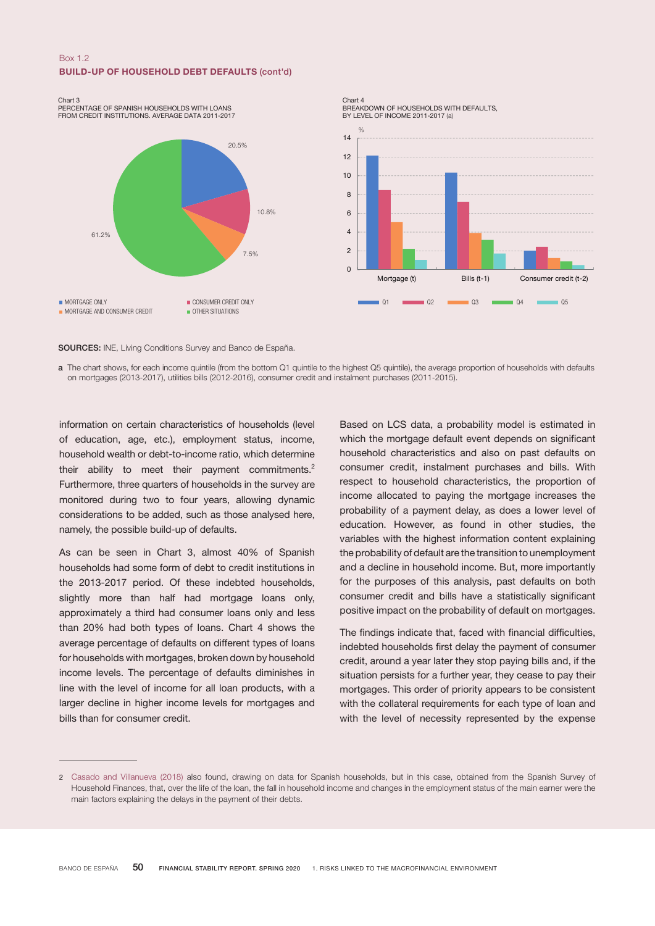# Box 1.2 BUILD-UP OF HOUSEHOLD DEBT DEFAULTS (cont'd)



PERCENTAGE OF SPANISH HOUSEHOLDS WITH LOANS FROM CREDIT INSTITUTIONS. AVERAGE DATA 2011-2017



Chart 4 BREAKDOWN OF HOUSEHOLDS WITH DEFAULTS, BY LEVEL OF INCOME 2011-2017 (a)



SOURCES: INE, Living Conditions Survey and Banco de España.

a The chart shows, for each income quintile (from the bottom Q1 quintile to the highest Q5 quintile), the average proportion of households with defaults on mortgages (2013-2017), utilities bills (2012-2016), consumer credit and instalment purchases (2011-2015).

information on certain characteristics of households (level of education, age, etc.), employment status, income, household wealth or debt-to-income ratio, which determine their ability to meet their payment commitments.<sup>2</sup> Furthermore, three quarters of households in the survey are monitored during two to four years, allowing dynamic considerations to be added, such as those analysed here, namely, the possible build-up of defaults.

As can be seen in Chart 3, almost 40% of Spanish households had some form of debt to credit institutions in the 2013-2017 period. Of these indebted households, slightly more than half had mortgage loans only, approximately a third had consumer loans only and less than 20% had both types of loans. Chart 4 shows the average percentage of defaults on different types of loans for households with mortgages, broken down by household income levels. The percentage of defaults diminishes in line with the level of income for all loan products, with a larger decline in higher income levels for mortgages and bills than for consumer credit.

Based on LCS data, a probability model is estimated in which the mortgage default event depends on significant household characteristics and also on past defaults on consumer credit, instalment purchases and bills. With respect to household characteristics, the proportion of income allocated to paying the mortgage increases the probability of a payment delay, as does a lower level of education. However, as found in other studies, the variables with the highest information content explaining the probability of default are the transition to unemployment and a decline in household income. But, more importantly for the purposes of this analysis, past defaults on both consumer credit and bills have a statistically significant positive impact on the probability of default on mortgages.

The findings indicate that, faced with financial difficulties, indebted households first delay the payment of consumer credit, around a year later they stop paying bills and, if the situation persists for a further year, they cease to pay their mortgages. This order of priority appears to be consistent with the collateral requirements for each type of loan and with the level of necessity represented by the expense

<sup>2</sup> Casado and [Villanueva](https://www.bde.es/f/webbde/GAP/Secciones/Publicaciones/InformesBoletinesRevistas/RevistaEstabilidadFinanciera/18/NOVIEMBRE/Retrasos_en_el_pago_de_la_deuda.pdf) (2018) also found, drawing on data for Spanish households, but in this case, obtained from the Spanish Survey of Household Finances, that, over the life of the loan, the fall in household income and changes in the employment status of the main earner were the main factors explaining the delays in the payment of their debts.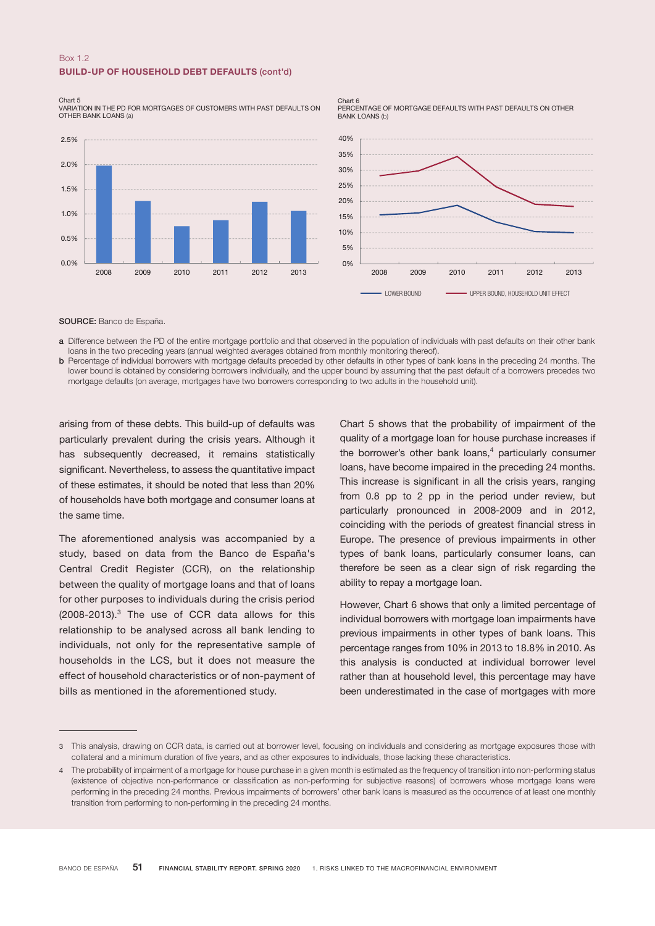## Box 1.2 BUILD-UP OF HOUSEHOLD DEBT DEFAULTS (cont'd)

#### Chart 5

VARIATION IN THE PD FOR MORTGAGES OF CUSTOMERS WITH PAST DEFAULTS ON OTHER BANK LOANS (a)



Chart 6 PERCENTAGE OF MORTGAGE DEFAULTS WITH PAST DEFAULTS ON OTHER BANK LOANS (b)



SOURCE: Banco de España.

a Difference between the PD of the entire mortgage portfolio and that observed in the population of individuals with past defaults on their other bank loans in the two preceding years (annual weighted averages obtained from monthly monitoring thereof).

b Percentage of individual borrowers with mortgage defaults preceded by other defaults in other types of bank loans in the preceding 24 months. The lower bound is obtained by considering borrowers individually, and the upper bound by assuming that the past default of a borrowers precedes two mortgage defaults (on average, mortgages have two borrowers corresponding to two adults in the household unit).

arising from of these debts. This build-up of defaults was particularly prevalent during the crisis years. Although it has subsequently decreased, it remains statistically significant. Nevertheless, to assess the quantitative impact of these estimates, it should be noted that less than 20% of households have both mortgage and consumer loans at the same time.

The aforementioned analysis was accompanied by a study, based on data from the Banco de España's Central Credit Register (CCR), on the relationship between the quality of mortgage loans and that of loans for other purposes to individuals during the crisis period  $(2008-2013).<sup>3</sup>$  The use of CCR data allows for this relationship to be analysed across all bank lending to individuals, not only for the representative sample of households in the LCS, but it does not measure the effect of household characteristics or of non-payment of bills as mentioned in the aforementioned study.

Chart 5 shows that the probability of impairment of the quality of a mortgage loan for house purchase increases if the borrower's other bank loans, $4$  particularly consumer loans, have become impaired in the preceding 24 months. This increase is significant in all the crisis years, ranging from 0.8 pp to 2 pp in the period under review, but particularly pronounced in 2008-2009 and in 2012, coinciding with the periods of greatest financial stress in Europe. The presence of previous impairments in other types of bank loans, particularly consumer loans, can therefore be seen as a clear sign of risk regarding the ability to repay a mortgage loan.

However, Chart 6 shows that only a limited percentage of individual borrowers with mortgage loan impairments have previous impairments in other types of bank loans. This percentage ranges from 10% in 2013 to 18.8% in 2010. As this analysis is conducted at individual borrower level rather than at household level, this percentage may have been underestimated in the case of mortgages with more

<sup>3</sup> This analysis, drawing on CCR data, is carried out at borrower level, focusing on individuals and considering as mortgage exposures those with collateral and a minimum duration of five years, and as other exposures to individuals, those lacking these characteristics.

<sup>4</sup> The probability of impairment of a mortgage for house purchase in a given month is estimated as the frequency of transition into non-performing status (existence of objective non-performance or classification as non-performing for subjective reasons) of borrowers whose mortgage loans were performing in the preceding 24 months. Previous impairments of borrowers' other bank loans is measured as the occurrence of at least one monthly transition from performing to non-performing in the preceding 24 months.